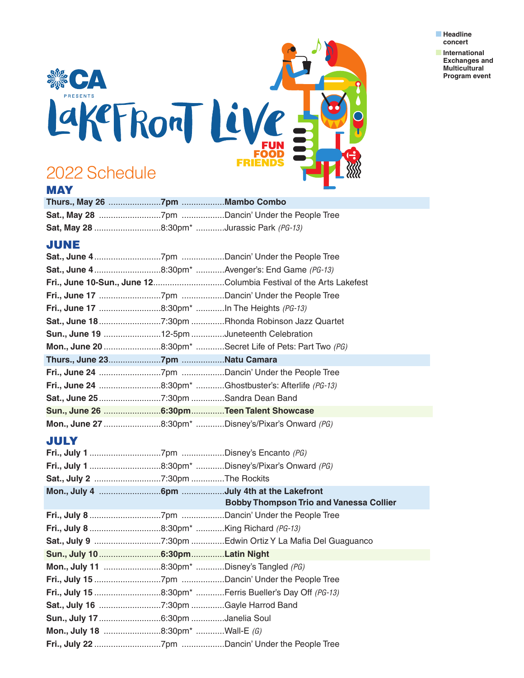

**n** International  **Exchanges and Multicultural Program event**



## **MAY**

| <b>Sat, May 28</b> 8:30pm <sup>*</sup> Jurassic Park (PG-13) |  |
|--------------------------------------------------------------|--|

## **JUNE**

| Sat., June 48:30pm* Avenger's: End Game (PG-13)    |                                                                   |
|----------------------------------------------------|-------------------------------------------------------------------|
|                                                    | Fri., June 10-Sun., June 12Columbia Festival of the Arts Lakefest |
|                                                    |                                                                   |
| Fri., June 17 8:30pm* In The Heights (PG-13)       |                                                                   |
|                                                    |                                                                   |
| Sun., June 19 12-5pm Juneteenth Celebration        |                                                                   |
|                                                    | Mon., June 20 8:30pm* Secret Life of Pets: Part Two (PG)          |
|                                                    |                                                                   |
|                                                    |                                                                   |
|                                                    | Fri., June 24 8:30pm* Ghostbuster's: Afterlife (PG-13)            |
|                                                    |                                                                   |
| Sun., June 26 6:30pmTeen Talent Showcase           |                                                                   |
| Mon., June 27 8:30pm* Disney's/Pixar's Onward (PG) |                                                                   |

## **JULY**

|                                             | <b>Bobby Thompson Trio and Vanessa Collier</b>         |
|---------------------------------------------|--------------------------------------------------------|
|                                             |                                                        |
|                                             |                                                        |
|                                             |                                                        |
|                                             |                                                        |
| Sun., July 10  6:30pm Latin Night           |                                                        |
| Mon., July 11 8:30pm* Disney's Tangled (PG) |                                                        |
|                                             |                                                        |
|                                             | Fri., July 15 8:30pm* Ferris Bueller's Day Off (PG-13) |
|                                             |                                                        |
|                                             |                                                        |
| Mon., July 18 8:30pm* Wall-E (G)            |                                                        |